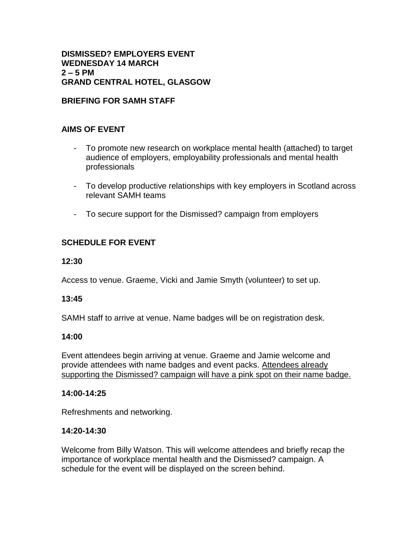### **DISMISSED? EMPLOYERS EVENT WEDNESDAY 14 MARCH 2 – 5 PM GRAND CENTRAL HOTEL, GLASGOW**

# **BRIEFING FOR SAMH STAFF**

# **AIMS OF EVENT**

- To promote new research on workplace mental health (attached) to target audience of employers, employability professionals and mental health professionals
- To develop productive relationships with key employers in Scotland across relevant SAMH teams
- To secure support for the Dismissed? campaign from employers

# **SCHEDULE FOR EVENT**

#### **12:30**

Access to venue. Graeme, Vicki and Jamie Smyth (volunteer) to set up.

## **13:45**

SAMH staff to arrive at venue. Name badges will be on registration desk.

## **14:00**

Event attendees begin arriving at venue. Graeme and Jamie welcome and provide attendees with name badges and event packs. Attendees already supporting the Dismissed? campaign will have a pink spot on their name badge.

#### **14:00-14:25**

Refreshments and networking.

#### **14:20-14:30**

Welcome from Billy Watson. This will welcome attendees and briefly recap the importance of workplace mental health and the Dismissed? campaign. A schedule for the event will be displayed on the screen behind.